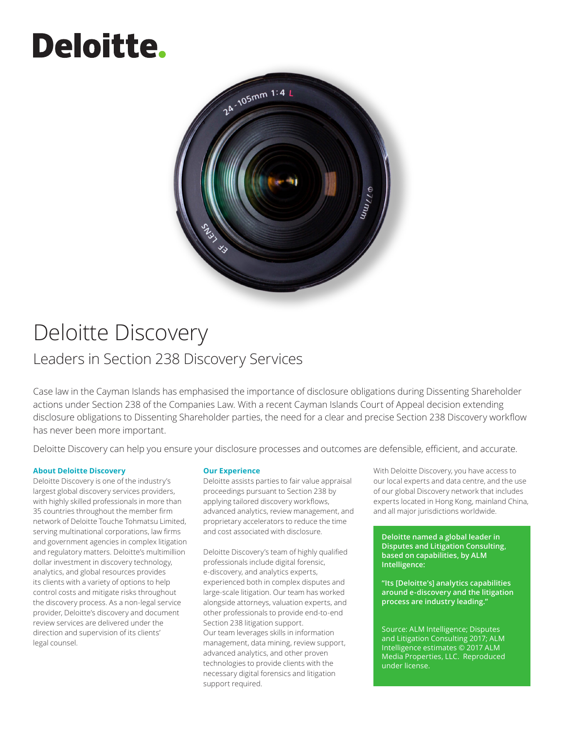## **Deloitte.**



### Deloitte Discovery

#### Leaders in Section 238 Discovery Services

Case law in the Cayman Islands has emphasised the importance of disclosure obligations during Dissenting Shareholder actions under Section 238 of the Companies Law. With a recent Cayman Islands Court of Appeal decision extending disclosure obligations to Dissenting Shareholder parties, the need for a clear and precise Section 238 Discovery workflow has never been more important.

Deloitte Discovery can help you ensure your disclosure processes and outcomes are defensible, efficient, and accurate.

#### **About Deloitte Discovery**

Deloitte Discovery is one of the industry's largest global discovery services providers, with highly skilled professionals in more than 35 countries throughout the member firm network of Deloitte Touche Tohmatsu Limited, serving multinational corporations, law firms and government agencies in complex litigation and regulatory matters. Deloitte's multimillion dollar investment in discovery technology, analytics, and global resources provides its clients with a variety of options to help control costs and mitigate risks throughout the discovery process. As a non-legal service provider, Deloitte's discovery and document review services are delivered under the direction and supervision of its clients' legal counsel.

#### **Our Experience**

Deloitte assists parties to fair value appraisal proceedings pursuant to Section 238 by applying tailored discovery workflows, advanced analytics, review management, and proprietary accelerators to reduce the time and cost associated with disclosure.

Deloitte Discovery's team of highly qualified professionals include digital forensic, e-discovery, and analytics experts, experienced both in complex disputes and large-scale litigation. Our team has worked alongside attorneys, valuation experts, and other professionals to provide end-to-end Section 238 litigation support. Our team leverages skills in information management, data mining, review support, advanced analytics, and other proven technologies to provide clients with the necessary digital forensics and litigation support required.

With Deloitte Discovery, you have access to our local experts and data centre, and the use of our global Discovery network that includes experts located in Hong Kong, mainland China, and all major jurisdictions worldwide.

**Deloitte named a global leader in Disputes and Litigation Consulting, based on capabilities, by ALM Intelligence:**

**"Its [Deloitte's] analytics capabilities around e-discovery and the litigation process are industry leading."** 

Source: ALM Intelligence; Disputes and Litigation Consulting 2017; ALM Intelligence estimates © 2017 ALM Media Properties, LLC. Reproduced under license.